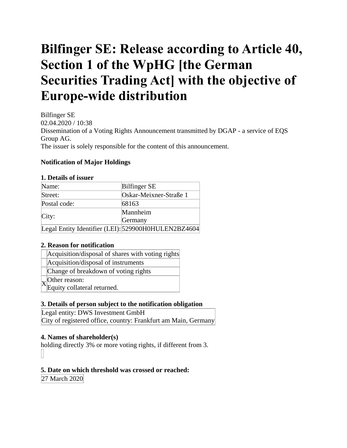# **Bilfinger SE: Release according to Article 40, Section 1 of the WpHG [the German Securities Trading Act] with the objective of Europe-wide distribution**

Bilfinger SE 02.04.2020 / 10:38 Dissemination of a Voting Rights Announcement transmitted by DGAP - a service of EQS Group AG. The issuer is solely responsible for the content of this announcement.

# **Notification of Major Holdings**

#### **1. Details of issuer**

| Name:        | <b>Bilfinger SE</b>                                 |
|--------------|-----------------------------------------------------|
| Street:      | Oskar-Meixner-Straße 1                              |
| Postal code: | 68163                                               |
|              | Mannheim                                            |
| City:        | Germany                                             |
|              | Legal Entity Identifier (LEI): 529900H0HULEN2BZ4604 |

## **2. Reason for notification**

Acquisition/disposal of instruments

Change of breakdown of voting rights

 $X_{\text{Equity,}o}^{\text{Other reason:}}$ 

Equity collateral returned.

## **3. Details of person subject to the notification obligation**

Legal entity: DWS Investment GmbH City of registered office, country: Frankfurt am Main, Germany

## **4. Names of shareholder(s)**

holding directly 3% or more voting rights, if different from 3.

## **5. Date on which threshold was crossed or reached:**

27 March 2020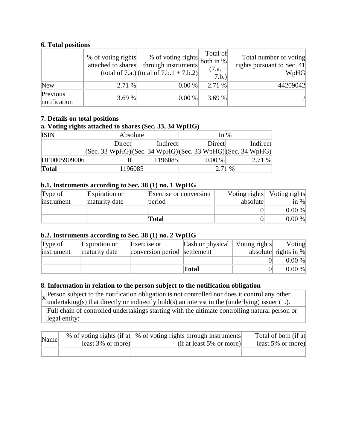# **6. Total positions**

|                          | % of voting rights<br>attached to shares | % of voting rights both in %<br>through instruments<br>(total of 7.a.) (total of $7.b.1 + 7.b.2$ ) | Total of<br>$(7.a. +$<br>7.b.) | Total number of voting<br>rights pursuant to Sec. $41$<br>WpHG |
|--------------------------|------------------------------------------|----------------------------------------------------------------------------------------------------|--------------------------------|----------------------------------------------------------------|
| <b>New</b>               | 2.71 %                                   | 0.00 %                                                                                             | $2.71\%$                       | 44209042                                                       |
| Previous<br>notification | 3.69 %                                   | 0.00 %                                                                                             | 3.69 $%$                       |                                                                |

## **7. Details on total positions**

#### **a. Voting rights attached to shares (Sec. 33, 34 WpHG)**

| $\sigma$ $\sigma$ |                                                                                         |          |        |          |
|-------------------|-----------------------------------------------------------------------------------------|----------|--------|----------|
| <b>ISIN</b>       | Absolute                                                                                |          | In $%$ |          |
|                   | Direct                                                                                  | Indirect | Direct | Indirect |
|                   | $ ({\rm Sec. 33 WpHG}) ({\rm Sec. 34 WpHG}) ({\rm Sec. 33 WpHG}) ({\rm Sec. 34 WpHG}) $ |          |        |          |
| DE0005909006      |                                                                                         | 1196085  | 0.00 % | 2.71 %   |
| <b>Total</b>      |                                                                                         | 1196085  | 2.71 % |          |

#### **b.1. Instruments according to Sec. 38 (1) no. 1 WpHG**

| Type of    | Expiration or | Exercise or conversion |          | Voting rights Voting rights |
|------------|---------------|------------------------|----------|-----------------------------|
| instrument | maturity date | period                 | absolute | in $\%$                     |
|            |               |                        |          | 0.00 %                      |
|            |               | Total                  |          | 0.00 %                      |

## **b.2. Instruments according to Sec. 38 (1) no. 2 WpHG**

| Type of    | Expiration or | Exercise or                  | Cash or physical   Voting rights | Voting                  |
|------------|---------------|------------------------------|----------------------------------|-------------------------|
| instrument | maturity date | conversion period settlement |                                  | absolute rights in $\%$ |
|            |               |                              |                                  | 0.00 %                  |
|            |               |                              | Total                            | 0.00 %                  |

#### **8. Information in relation to the person subject to the notification obligation**

 $X_{\text{underal}}^{\text{Person}}$  subject to the notification obligation is not controlled nor does it control any other undertaking(s) that directly or indirectly hold(s) an interest in the (underlying) issuer (1.).

Full chain of controlled undertakings starting with the ultimate controlling natural person or legal entity:

| Name | least $3\%$ or more) | % of voting rights (if at \ % of voting rights through instruments)<br>$(if at least 5\% or more)$ | Total of both (if at<br>least $5\%$ or more) |
|------|----------------------|----------------------------------------------------------------------------------------------------|----------------------------------------------|
|      |                      |                                                                                                    |                                              |